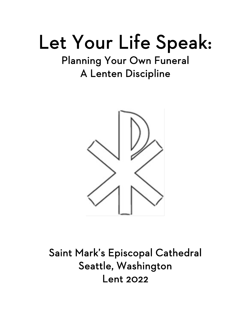# Let Your Life Speak:<br>Planning Your Own Funeral

# A Lenten Discipline



Saint Mark's Episcopal Cathedral Seattle, Washington Lent 2022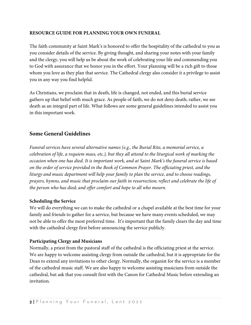#### **RESOURCE GUIDE FOR PLANNING YOUR OWN FUNERAL**

The faith community at Saint Mark's is honored to offer the hospitality of the cathedral to you as you consider details of the service. By giving thought, and sharing your notes with your family and the clergy, you will help us be about the work of celebrating your life and commending you to God with assurance that we honor you in the effort. Your planning will be a rich gift to those whom you love as they plan that service. The Cathedral clergy also consider it a privilege to assist you in any way you find helpful.

As Christians, we proclaim that in death, life is changed, not ended, and this burial service gathers up that belief with much grace. As people of faith, we do not deny death; rather, we see death as an integral part of life. What follows are some general guidelines intended to assist you in this important work.

# **Some General Guidelines**

*Funeral services have several alternative names (e.g., the Burial Rite, a memorial service, a celebration of life, a requiem mass, etc.), but they all attend to the liturgical work of marking the occasion when one has died. It is important work, and at Saint Mark's the funeral service is based on the order of service provided in the Book of Common Prayer. The officiating priest, and the liturgy and music department will help your family to plan the service, and to choose readings, prayers, hymns, and music that proclaim our faith in resurrection; reflect and celebrate the life of the person who has died; and offer comfort and hope to all who mourn.* 

#### **Scheduling the Service**

We will do everything we can to make the cathedral or a chapel available at the best time for your family and friends to gather for a service, but because we have many events scheduled, we may not be able to offer the most preferred time. It's important that the family clears the day and time with the cathedral clergy first before announcing the service publicly.

#### **Participating Clergy and Musicians**

Normally, a priest from the pastoral staff of the cathedral is the officiating priest at the service. We are happy to welcome assisting clergy from outside the cathedral, but it is appropriate for the Dean to extend any invitations to other clergy. Normally, the organist for the service is a member of the cathedral music staff. We are also happy to welcome assisting musicians from outside the cathedral, but ask that you consult first with the Canon for Cathedral Music before extending an invitation.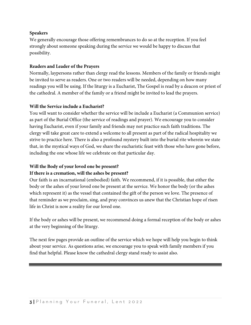#### **Speakers**

We generally encourage those offering remembrances to do so at the reception. If you feel strongly about someone speaking during the service we would be happy to discuss that possibility.

#### **Readers and Leader of the Prayers**

Normally, laypersons rather than clergy read the lessons. Members of the family or friends might be invited to serve as readers. One or two readers will be needed, depending on how many readings you will be using. If the liturgy is a Eucharist, The Gospel is read by a deacon or priest of the cathedral. A member of the family or a friend might be invited to lead the prayers.

#### **Will the Service include a Eucharist?**

You will want to consider whether the service will be include a Eucharist (a Communion service) as part of the Burial Office (the service of readings and prayer). We encourage you to consider having Eucharist, even if your family and friends may not practice such faith traditions. The clergy will take great care to extend a welcome to all present as part of the radical hospitality we strive to practice here. There is also a profound mystery built into the burial rite wherein we state that, in the mystical ways of God, we share the eucharistic feast with those who have gone before, including the one whose life we celebrate on that particular day.

#### **Will the Body of your loved one be present?**

#### **If there is a cremation, will the ashes be present?**

Our faith is an incarnational (embodied) faith. We recommend, if it is possible, that either the body or the ashes of your loved one be present at the service. We honor the body (or the ashes which represent it) as the vessel that contained the gift of the person we love. The presence of that reminder as we proclaim, sing, and pray convinces us anew that the Christian hope of risen life in Christ is now a reality for our loved one.

If the body or ashes will be present, we recommend doing a formal reception of the body or ashes at the very beginning of the liturgy.

The next few pages provide an outline of the service which we hope will help you begin to think about your service. As questions arise, we encourage you to speak with family members if you find that helpful. Please know the cathedral clergy stand ready to assist also.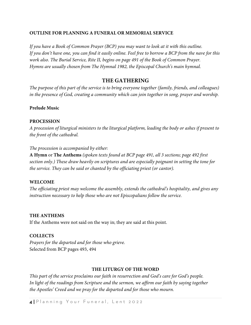#### **OUTLINE FOR PLANNING A FUNERAL OR MEMORIAL SERVICE**

*If you have a Book of Common Prayer (BCP) you may want to look at it with this outline. If you don't have one, you can find it easily online. Feel free to borrow a BCP from the nave for this work also. The Burial Service, Rite II, begins on page 491 of the Book of Common Prayer. Hymns are usually chosen from The Hymnal 1982, the Episcopal Church's main hymnal.*

# **THE GATHERING**

*The purpose of this part of the service is to bring everyone together (family, friends, and colleagues) in the presence of God, creating a community which can join together in song, prayer and worship.*

#### **Prelude Music**

#### **PROCESSION**

*A procession of liturgical ministers to the liturgical platform, leading the body or ashes if present to the front of the cathedral.* 

#### *The procession is accompanied by either:*

**A Hymn** or **The Anthems** *(spoken texts found at BCP page 491, all 3 sections; page 492 first section only.) These draw heavily on scriptures and are especially poignant in setting the tone for the service. They can be said or chanted by the officiating priest (or cantor).*

#### **WELCOME**

*The officiating priest may welcome the assembly, extends the cathedral's hospitality, and gives any instruction necessary to help those who are not Episcopalians follow the service.* 

#### **THE ANTHEMS**

If the Anthems were not said on the way in; they are said at this point.

#### **COLLECTS**

*Prayers for the departed and for those who grieve.* Selected from BCP pages 493, 494

#### **THE LITURGY OF THE WORD**

*This part of the service proclaims our faith in resurrection and God's care for God's people. In light of the readings from Scripture and the sermon, we affirm our faith by saying together the Apostles' Creed and we pray for the departed and for those who mourn.*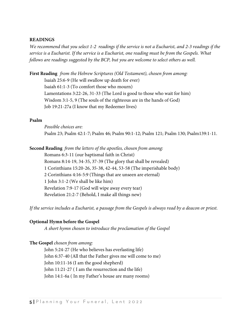#### **READINGS**

*We recommend that you select 1-2 readings if the service is not a Eucharist, and 2-3 readings if the service is a Eucharist. If the service is a Eucharist, one reading must be from the Gospels. What follows are readings suggested by the BCP, but you are welcome to select others as well.*

**First Reading** *from the Hebrew Scriptures (Old Testament), chosen from among:* Isaiah 25:6-9 (He will swallow up death for ever) Isaiah 61:1-3 (To comfort those who mourn) Lamentations 3:22-26, 31-33 (The Lord is good to those who wait for him) Wisdom 3:1-5, 9 (The souls of the righteous are in the hands of God) Job 19:21-27a (I know that my Redeemer lives)

#### **Psalm**

*Possible choices are:*  Psalm 23; Psalm 42:1-7; Psalm 46; Psalm 90:1-12; Psalm 121; Psalm 130; Psalm139:1-11.

**Second Reading** *from the letters of the apostles, chosen from among:*

Romans 6:3-11 (our baptismal faith in Christ) Romans 8:14-19, 34-35, 37-39 (The glory that shall be revealed) 1 Corinthians 15:20-26, 35-38, 42-44, 53-58 (The imperishable body) 2 Corinthians 4:16-5:9 (Things that are unseen are eternal) 1 John 3:1-2 (We shall be like him) Revelation 7:9-17 (God will wipe away every tear) Revelation 21:2-7 (Behold, I make all things new)

*If the service includes a Eucharist, a passage from the Gospels is always read by a deacon or priest.*

#### **Optional Hymn before the Gospel**

*A short hymn chosen to introduce the proclamation of the Gospel*

#### **The Gospel** *chosen from among:*

John 5:24-27 (He who believes has everlasting life) John 6:37-40 (All that the Father gives me will come to me) John 10:11-16 (I am the good shepherd) John 11:21-27 ( I am the resurrection and the life) John 14:1-6a ( In my Father's house are many rooms)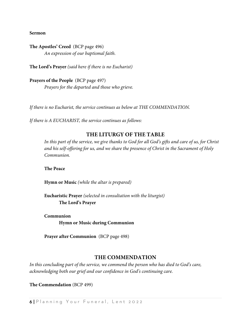**Sermon**

**The Apostles' Creed** (BCP page 496) *An expression of our baptismal faith.*

**The Lord's Prayer** *(said here if there is no Eucharist)*

**Prayers of the People** (BCP page 497) *Prayers for the departed and those who grieve.*

*If there is no Eucharist, the service continues as below at THE COMMENDATION.*

*If there is A EUCHARIST, the service continues as follows:*

#### **THE LITURGY OF THE TABLE**

*In this part of the service, we give thanks to God for all God's gifts and care of us, for Christ and his self-offering for us, and we share the presence of Christ in the Sacrament of Holy Communion.*

**The Peace**

**Hymn or Music** *(while the altar is prepared)*

**Eucharistic Prayer** *(selected in consultation with the liturgist)* **The Lord's Prayer**

**Communion Hymn or Music during Communion**

**Prayer after Communion** (BCP page 498)

#### **THE COMMENDATION**

*In this concluding part of the service, we commend the person who has died to God's care, acknowledging both our grief and our confidence in God's continuing care.*

**The Commendation** (BCP 499)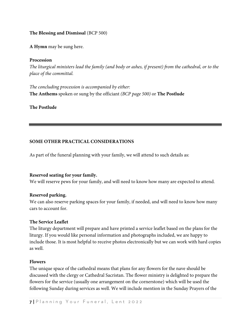#### **The Blessing and Dismissal** (BCP 500)

**A Hymn** may be sung here.

#### **Procession**

*The liturgical ministers lead the family (and body or ashes, if present) from the cathedral, or to the place of the committal.* 

*The concluding procession is accompanied by either:* **The Anthems** spoken or sung by the officiant *(BCP page 500)* or **The Postlude**

#### **The Postlude**

#### **SOME OTHER PRACTICAL CONSIDERATIONS**

As part of the funeral planning with your family, we will attend to such details as:

#### **Reserved seating for your family.**

We will reserve pews for your family, and will need to know how many are expected to attend.

#### **Reserved parking.**

We can also reserve parking spaces for your family, if needed, and will need to know how many cars to account for.

#### **The Service Leaflet**

The liturgy department will prepare and have printed a service leaflet based on the plans for the liturgy. If you would like personal information and photographs included, we are happy to include those. It is most helpful to receive photos electronically but we can work with hard copies as well.

#### **Flowers**

The unique space of the cathedral means that plans for any flowers for the nave should be discussed with the clergy or Cathedral Sacristan. The flower ministry is delighted to prepare the flowers for the service (usually one arrangement on the cornerstone) which will be used the following Sunday during services as well. We will include mention in the Sunday Prayers of the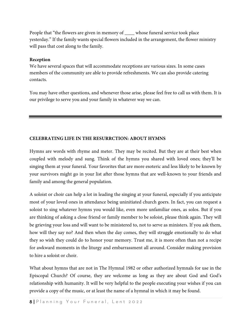People that "the flowers are given in memory of \_\_\_\_ whose funeral service took place yesterday." If the family wants special flowers included in the arrangement, the flower ministry will pass that cost along to the family.

#### **Reception**

We have several spaces that will accommodate receptions are various sizes. In some cases members of the community are able to provide refreshments. We can also provide catering contacts.

You may have other questions, and whenever those arise, please feel free to call us with them. It is our privilege to serve you and your family in whatever way we can.

#### **CELEBRATING LIFE IN THE RESURRCTION: ABOUT HYMNS**

Hymns are words with rhyme and meter. They may be recited. But they are at their best when coupled with melody and sung. Think of the hymns you shared with loved ones; they'll be singing them at your funeral. Your favorites that are more esoteric and less likely to be known by your survivors might go in your list after those hymns that are well-known to your friends and family and among the general population.

A soloist or choir can help a lot in leading the singing at your funeral, especially if you anticipate most of your loved ones in attendance being uninitiated church goers. In fact, you can request a soloist to sing whatever hymns you would like, even more unfamiliar ones, as solos. But if you are thinking of asking a close friend or family member to be soloist, please think again. They will be grieving your loss and will want to be ministered to, not to serve as ministers. If you ask them, how will they say no? And then when the day comes, they will struggle emotionally to do what they so wish they could do to honor your memory. Trust me, it is more often than not a recipe for awkward moments in the liturgy and embarrassment all around. Consider making provision to hire a soloist or choir.

What about hymns that are not in The Hymnal 1982 or other authorized hymnals for use in the Episcopal Church? Of course, they are welcome as long as they are about God and God's relationship with humanity. It will be very helpful to the people executing your wishes if you can provide a copy of the music, or at least the name of a hymnal in which it may be found.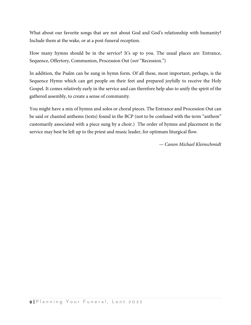What about our favorite songs that are not about God and God's relationship with humanity? Include them at the wake, or at a post-funeral reception.

How many hymns should be in the service? It's up to you. The usual places are: Entrance, Sequence, Offertory, Communion, Procession Out (*not* "Recession.")

In addition, the Psalm can be sung in hymn form. Of all these, most important, perhaps, is the Sequence Hymn which can get people on their feet and prepared joyfully to receive the Holy Gospel. It comes relatively early in the service and can therefore help also to unify the spirit of the gathered assembly, to create a sense of community.

You might have a mix of hymns and solos or choral pieces. The Entrance and Procession Out can be said or chanted anthems (texts) found in the BCP (not to be confused with the term "anthem" customarily associated with a piece sung by a choir.) The order of hymns and placement in the service may best be left up to the priest and music leader, for optimum liturgical flow.

*— Canon Michael Kleinschmidt*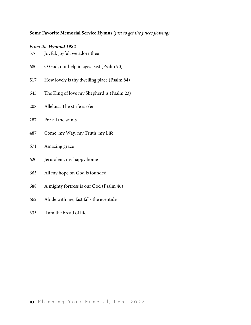#### **Some Favorite Memorial Service Hymns** *(just to get the juices flowing)*

#### *From the Hymnal 1982*

- 376 Joyful, joyful, we adore thee
- 680 O God, our help in ages past (Psalm 90)
- How lovely is thy dwelling place (Psalm 84)
- The King of love my Shepherd is (Psalm 23)
- Alleluia! The strife is o'er
- For all the saints
- Come, my Way, my Truth, my Life
- Amazing grace
- Jerusalem, my happy home
- All my hope on God is founded
- A mighty fortress is our God (Psalm 46)
- Abide with me, fast falls the eventide
- 335 I am the bread of life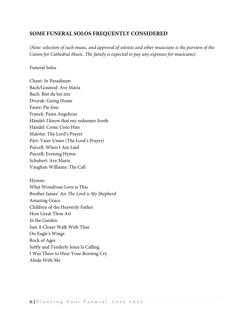# **SOME FUNERAL SOLOS FREQUENTLY CONSIDERED**

*(Note: selection of such music, and approval of soloists and other musicians is the purview of the Canon for Cathedral Music. The family is expected to pay any expenses for musicians).*

#### Funeral Solos

Chant: In Paradisum Bach/Gounod: Ave Maria Bach: Bist du bei mir Dvorak: Going Home Faure: Pie Jesu Franck: Panis Angelicus Händel: I know that my redeemer liveth Händel: Come Unto Him Malotte: The Lord's Prayer Pärt: Vater Unser (The Lord's Prayer) Purcell: When I Am Laid Purcell: Evening Hymn Schubert: Ave Maria Vaughan Williams: The Call

Hymns-What Wondrous Love is This Brother James' Air *The Lord is My Shepherd* Amazing Grace Children of the Heavenly Father How Great Thou Art In the Garden Just A Closer Walk With Thee On Eagle's Wings Rock of Ages Softly and Tenderly Jesus Is Calling I Was There to Hear Your Borning Cry Abide With Me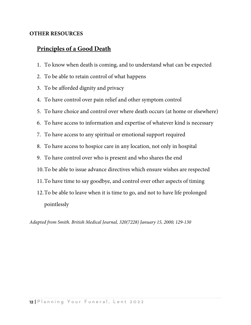# **OTHER RESOURCES**

# **Principles of a Good Death**

- 1. To know when death is coming, and to understand what can be expected
- 2. To be able to retain control of what happens
- 3. To be afforded dignity and privacy
- 4. To have control over pain relief and other symptom control
- 5. To have choice and control over where death occurs (at home or elsewhere)
- 6. To have access to information and expertise of whatever kind is necessary
- 7. To have access to any spiritual or emotional support required
- 8. To have access to hospice care in any location, not only in hospital
- 9. To have control over who is present and who shares the end
- 10.To be able to issue advance directives which ensure wishes are respected
- 11.To have time to say goodbye, and control over other aspects of timing
- 12.To be able to leave when it is time to go, and not to have life prolonged pointlessly

*Adapted from Smith. British Medical Journal, 320(7228) January 15, 2000; 129-130*